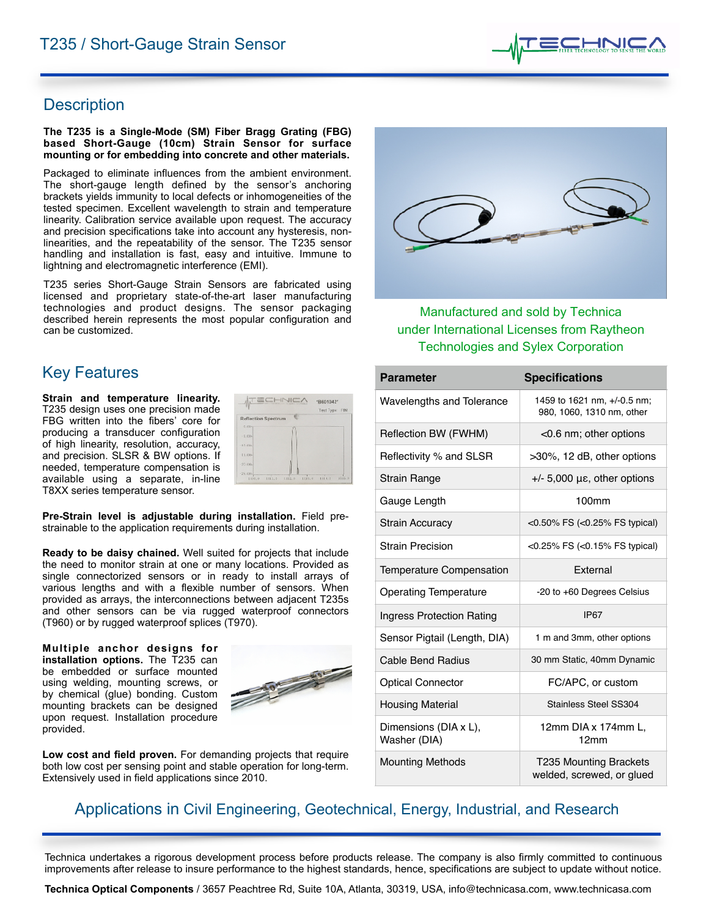

# Description

#### **The T235 is a Single-Mode (SM) Fiber Bragg Grating (FBG) based Short-Gauge (10cm) Strain Sensor for surface mounting or for embedding into concrete and other materials.**

Packaged to eliminate influences from the ambient environment. The short-gauge length defined by the sensor's anchoring brackets yields immunity to local defects or inhomogeneities of the tested specimen. Excellent wavelength to strain and temperature linearity. Calibration service available upon request. The accuracy and precision specifications take into account any hysteresis, nonlinearities, and the repeatability of the sensor. The T235 sensor handling and installation is fast, easy and intuitive. Immune to lightning and electromagnetic interference (EMI).

T235 series Short-Gauge Strain Sensors are fabricated using licensed and proprietary state-of-the-art laser manufacturing technologies and product designs. The sensor packaging described herein represents the most popular configuration and can be customized.

# **Key Features**

**Strain and temperature linearity.** T235 design uses one precision made FBG written into the fibers' core for producing a transducer configuration of high linearity, resolution, accuracy, and precision. SLSR & BW options. If needed, temperature compensation is available using a separate, in-line T8XX series temperature sensor.

|                            |  | Test Type: FIN |  |
|----------------------------|--|----------------|--|
| <b>Reflection Spectrum</b> |  |                |  |
| $0,00 -$                   |  |                |  |
| $-5.00-$                   |  |                |  |
| $-10.014$                  |  |                |  |
| $13.00-$                   |  |                |  |
| $-20.00-$                  |  |                |  |
| $-25,00-$                  |  |                |  |

**Pre-Strain level is adjustable during installation.** Field prestrainable to the application requirements during installation.

**Ready to be daisy chained.** Well suited for projects that include the need to monitor strain at one or many locations. Provided as single connectorized sensors or in ready to install arrays of various lengths and with a flexible number of sensors. When provided as arrays, the interconnections between adjacent T235s and other sensors can be via rugged waterproof connectors (T960) or by rugged waterproof splices (T970).

**Multiple anchor designs for installation options.** The T235 can be embedded or surface mounted using welding, mounting screws, or by chemical (glue) bonding. Custom mounting brackets can be designed upon request. Installation procedure provided.



**Low cost and field proven.** For demanding projects that require both low cost per sensing point and stable operation for long-term. Extensively used in field applications since 2010.



Manufactured and sold by Technica under International Licenses from Raytheon **Technologies and Sylex Corporation** 

| <b>Parameter</b>                      | <b>Specifications</b>                                      |  |  |
|---------------------------------------|------------------------------------------------------------|--|--|
| Wavelengths and Tolerance             | 1459 to 1621 nm, +/-0.5 nm;<br>980, 1060, 1310 nm, other   |  |  |
| Reflection BW (FWHM)                  | $<$ 0.6 nm; other options                                  |  |  |
| Reflectivity % and SLSR               | >30%, 12 dB, other options                                 |  |  |
| Strain Range                          | $+/-$ 5,000 µ $\varepsilon$ , other options                |  |  |
| Gauge Length                          | 100mm                                                      |  |  |
| <b>Strain Accuracy</b>                | <0.50% FS (<0.25% FS typical)                              |  |  |
| <b>Strain Precision</b>               | <0.25% FS (<0.15% FS typical)                              |  |  |
| <b>Temperature Compensation</b>       | <b>Fxternal</b>                                            |  |  |
| <b>Operating Temperature</b>          | -20 to +60 Degrees Celsius                                 |  |  |
| Ingress Protection Rating             | <b>IP67</b>                                                |  |  |
| Sensor Pigtail (Length, DIA)          | 1 m and 3mm, other options                                 |  |  |
| <b>Cable Bend Radius</b>              | 30 mm Static, 40mm Dynamic                                 |  |  |
| <b>Optical Connector</b>              | FC/APC, or custom                                          |  |  |
| <b>Housing Material</b>               | Stainless Steel SS304                                      |  |  |
| Dimensions (DIA x L),<br>Washer (DIA) | 12mm DIA x 174mm L,<br>12mm                                |  |  |
| <b>Mounting Methods</b>               | <b>T235 Mounting Brackets</b><br>welded, screwed, or glued |  |  |

# Applications in Civil Engineering, Geotechnical, Energy, Industrial, and Research

Technica undertakes a rigorous development process before products release. The company is also firmly committed to continuous improvements after release to insure performance to the highest standards, hence, specifications are subject to update without notice.

**Technica Optical Components** / 3657 Peachtree Rd, Suite 10A, Atlanta, 30319, USA, [info@technicasa.com](mailto:info@technicasa.com), [www.technicasa.com](http://www.technicasa.com)